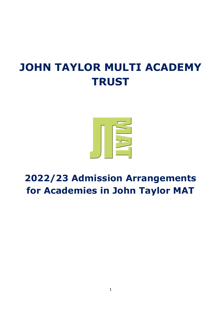# **JOHN TAYLOR MULTI ACADEMY TRUST**



# **2022/23 Admission Arrangements for Academies in John Taylor MAT**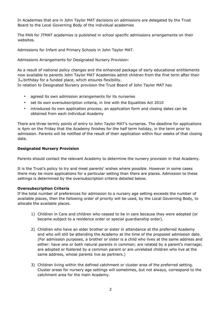In Academies that are in John Taylor MAT decisions on admissions are delegated by the Trust Board to the Local Governing Body of the individual academies

The PAN for JTMAT academies is published in school specific admissions arrangements on their websites.

Admissions for Infant and Primary Schools in John Taylor MAT.

Admissions Arrangements for Designated Nursery Provision:

As a result of national policy changes and the enhanced package of early educational entitlements now available to parents John Taylor MAT Academies admit children from the first term after their  $3<sub>rd</sub>$  birthday for a funded place, which ensures flexibility.

In relation to Designated Nursery provision the Trust Board of John Taylor MAT has

- agreed its own admission arrangements for its nurseries
- set its own oversubscription criteria, in line with the Equalities Act 2010
- introduced its own application process; an application form and closing dates can be obtained from each individual Academy

There are three termly points of entry to John Taylor MAT's nurseries. The deadline for applications is 4pm on the Friday that the Academy finishes for the half term holiday, in the term prior to admission. Parents will be notified of the result of their application within four weeks of that closing date.

#### **Designated Nursery Provision**

Parents should contact the relevant Academy to determine the nursery provision in that Academy.

It is the Trust's policy to try and meet parents' wishes where possible. However in some cases there may be more applications for a particular setting than there are places. Admission to these settings is determined by the oversubscription criteria detailed below.

#### **Oversubscription Criteria**

If the total number of preferences for admission to a nursery age setting exceeds the number of available places, then the following order of priority will be used, by the Local Governing Body, to allocate the available places.

- 1) Children in Care and children who ceased to be in care because they were adopted (or became subject to a residence order or special guardianship order).
- 2) Children who have an elder brother or sister in attendance at the preferred Academy and who will still be attending the Academy at the time of the proposed admission date. (For admission purposes, a brother or sister is a child who lives at the same address and either: have one or both natural parents in common; are related by a parent's marriage; are adopted or fostered by a common parent or are unrelated children who live at the same address, whose parents live as partners.)
- 3) Children living within the defined catchment or cluster area of the preferred setting. Cluster areas for nursery age settings will sometimes, but not always, correspond to the catchment area for the main Academy.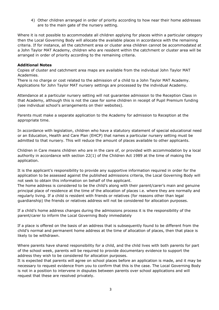4) Other children arranged in order of priority according to how near their home addresses are to the main gate of the nursery setting.

Where it is not possible to accommodate all children applying for places within a particular category then the Local Governing Body will allocate the available places in accordance with the remaining criteria. If for instance, all the catchment area or cluster area children cannot be accommodated at a John Taylor MAT Academy, children who are resident within the catchment or cluster area will be arranged in order of priority according to the remaining criteria.

#### **Additional Notes**

Copies of cluster and catchment area maps are available from the individual John Taylor MAT Academies.

There is no charge or cost related to the admission of a child to a John Taylor MAT Academy. Applications for John Taylor MAT nursery settings are processed by the individual Academy.

Attendance at a particular nursery setting will not guarantee admission to the Reception Class in that Academy, although this is not the case for some children in receipt of Pupil Premium funding (see individual school's arrangements on their websites).

Parents must make a separate application to the Academy for admission to Reception at the appropriate time.

In accordance with legislation, children who have a statutory statement of special educational need or an Education, Health and Care Plan (EHCP) that names a particular nursery setting must be admitted to that nursery. This will reduce the amount of places available to other applicants.

Children in Care means children who are in the care of, or provided with accommodation by a local authority in accordance with section 22(1) of the Children Act 1989 at the time of making the application.

It is the applicant's responsibility to provide any supportive information required in order for the application to be assessed against the published admissions criteria, the Local Governing Body will not seek to obtain this information on behalf of the applicant.

The home address is considered to be the child's along with their parent/carer's main and genuine principal place of residence at the time of the allocation of places i.e. where they are normally and regularly living. If a child is resident with friends or relatives (for reasons other than legal guardianship) the friends or relatives address will not be considered for allocation purposes.

If a child's home address changes during the admissions process it is the responsibility of the parent/carer to inform the Local Governing Body immediately

If a place is offered on the basis of an address that is subsequently found to be different from the child's normal and permanent home address at the time of allocation of places, then that place is likely to be withdrawn.

Where parents have shared responsibility for a child, and the child lives with both parents for part of the school week, parents will be required to provide documentary evidence to support the address they wish to be considered for allocation purposes.

It is expected that parents will agree on school places before an application is made, and it may be necessary to request evidence from you to confirm that this is the case. The Local Governing Body is not in a position to intervene in disputes between parents over school applications and will request that these are resolved privately.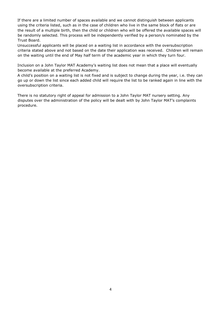If there are a limited number of spaces available and we cannot distinguish between applicants using the criteria listed, such as in the case of children who live in the same block of flats or are the result of a multiple birth, then the child or children who will be offered the available spaces will be randomly selected. This process will be independently verified by a person/s nominated by the Trust Board.

Unsuccessful applicants will be placed on a waiting list in accordance with the oversubscription criteria stated above and not based on the date their application was received. Children will remain on the waiting until the end of May half term of the academic year in which they turn four.

Inclusion on a John Taylor MAT Academy's waiting list does not mean that a place will eventually become available at the preferred Academy.

A child's position on a waiting list is not fixed and is subject to change during the year, i.e. they can go up or down the list since each added child will require the list to be ranked again in line with the oversubscription criteria.

There is no statutory right of appeal for admission to a John Taylor MAT nursery setting. Any disputes over the administration of the policy will be dealt with by John Taylor MAT's complaints procedure.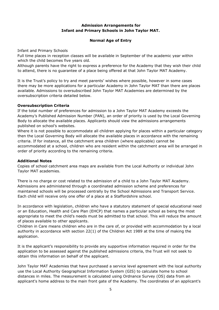# **Admission Arrangements for Infant and Primary Schools in John Taylor MAT.**

# **Normal Age of Entry**

Infant and Primary Schools

Full time places in reception classes will be available in September of the academic year within which the child becomes five years old.

Although parents have the right to express a preference for the Academy that they wish their child to attend, there is no guarantee of a place being offered at that John Taylor MAT Academy.

It is the Trust's policy to try and meet parents' wishes where possible, however in some cases there may be more applications for a particular Academy in John Taylor MAT than there are places available. Admissions to oversubscribed John Taylor MAT Academies are determined by the oversubscription criteria detailed below.

#### **Oversubscription Criteria**

If the total number of preferences for admission to a John Taylor MAT Academy exceeds the Academy's Published Admission Number (PAN), an order of priority is used by the Local Governing Body to allocate the available places. Applicants should view the admissions arrangements published on school's websites.

Where it is not possible to accommodate all children applying for places within a particular category then the Local Governing Body will allocate the available places in accordance with the remaining criteria. If for instance, all the catchment area children (where applicable) cannot be accommodated at a school, children who are resident within the catchment area will be arranged in order of priority according to the remaining criteria.

#### **Additional Notes**

Copies of school catchment area maps are available from the Local Authority or individual John Taylor MAT academies.

There is no charge or cost related to the admission of a child to a John Taylor MAT Academy. Admissions are administered through a coordinated admission scheme and preferences for maintained schools will be processed centrally by the School Admissions and Transport Service. Each child will receive only one offer of a place at a Staffordshire school.

In accordance with legislation, children who have a statutory statement of special educational need or an Education, Health and Care Plan (EHCP) that names a particular school as being the most appropriate to meet the child's needs must be admitted to that school. This will reduce the amount of places available to other applicants.

Children in Care means children who are in the care of, or provided with accommodation by a local authority in accordance with section 22(1) of the Children Act 1989 at the time of making the application.

It is the applicant's responsibility to provide any supportive information required in order for the application to be assessed against the published admissions criteria, the Trust will not seek to obtain this information on behalf of the applicant.

John Taylor MAT Academies that have purchased a service level agreement with the local authority use the Local Authority Geographical Information System (GIS) to calculate home to school distances in miles. The measurement is calculated using Ordnance Survey (OS) data from an applicant's home address to the main front gate of the Academy. The coordinates of an applicant's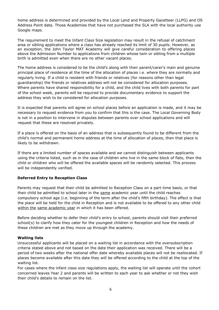home address is determined and provided by the Local Land and Property Gazetteer (LLPG) and OS Address Point data. Those Academies that have not purchased the SLA with the local authority use Google maps.

The requirement to meet the Infant Class Size legislation may result in the refusal of catchment area or sibling applications where a class has already reached its limit of 30 pupils. However, as an exception, the John Taylor MAT Academy will give careful consideration to offering places above the Admission Number to applications from children whose twin or sibling from a multiple birth is admitted even when there are no other vacant places.

The home address is considered to be the child's along with their parent/carer's main and genuine principal place of residence at the time of the allocation of places i.e. where they are normally and regularly living. If a child is resident with friends or relatives (for reasons other than legal guardianship) the friends or relatives address will not be considered for allocation purposes. Where parents have shared responsibility for a child, and the child lives with both parents for part of the school week, parents will be required to provide documentary evidence to support the address they wish to be considered for allocation purposes.

It is expected that parents will agree on school places before an application is made, and it may be necessary to request evidence from you to confirm that this is the case. The Local Governing Body is not in a position to intervene in disputes between parents over school applications and will request that these are resolved privately.

If a place is offered on the basis of an address that is subsequently found to be different from the child's normal and permanent home address at the time of allocation of places, then that place is likely to be withdrawn.

If there are a limited number of spaces available and we cannot distinguish between applicants using the criteria listed, such as in the case of children who live in the same block of flats, then the child or children who will be offered the available spaces will be randomly selected. This process will be independently verified.

# **Deferred Entry to Reception Class**

Parents may request that their child be admitted to Reception Class on a part-time basis, or that their child be admitted to school later in the same academic year until the child reaches compulsory school age (i.e. beginning of the term after the child's fifth birthday). The effect is that the place will be held for the child in Reception and is not available to be offered to any other child within the same academic year in which it has been offered.

Before deciding whether to defer their child's entry to school, parents should visit their preferred school(s) to clarify how they cater for the youngest children in Reception and how the needs of these children are met as they move up through the academy.

# **Waiting lists**

Unsuccessful applicants will be placed on a waiting list in accordance with the oversubscription criteria stated above and not based on the date their application was received. There will be a period of two weeks after the national offer date whereby available places will not be reallocated. If places become available after this date they will be offered according to the child at the top of the waiting list.

For cases where the infant class size regulations apply, the waiting list will operate until the cohort concerned leaves Year 2 and parents will be written to each year to ask whether or not they wish their child's details to remain on the list.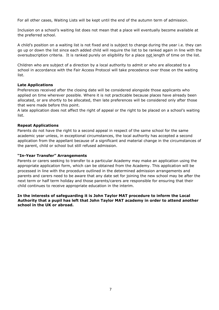For all other cases, Waiting Lists will be kept until the end of the autumn term of admission.

Inclusion on a school's waiting list does not mean that a place will eventually become available at the preferred school.

A child's position on a waiting list is not fixed and is subject to change during the year i.e. they can go up or down the list since each added child will require the list to be ranked again in line with the oversubscription criteria. It is ranked purely on eligibility for a place not length of time on the list.

Children who are subject of a direction by a local authority to admit or who are allocated to a school in accordance with the Fair Access Protocol will take precedence over those on the waiting list.

# **Late Applications**

Preferences received after the closing date will be considered alongside those applicants who applied on time wherever possible. Where it is not practicable because places have already been allocated, or are shortly to be allocated, then late preferences will be considered only after those that were made before this point.

A late application does not affect the right of appeal or the right to be placed on a school's waiting list.

# **Repeat Applications**

Parents do not have the right to a second appeal in respect of the same school for the same academic year unless, in exceptional circumstances, the local authority has accepted a second application from the appellant because of a significant and material change in the circumstances of the parent, child or school but still refused admission.

# **"In-Year Transfer" Arrangements**

Parents or carers seeking to transfer to a particular Academy may make an application using the appropriate application form, which can be obtained from the Academy. This application will be processed in line with the procedure outlined in the determined admission arrangements and parents and carers need to be aware that any date set for joining the new school may be after the next term or half term holiday and those parents/carers are responsible for ensuring that their child continues to receive appropriate education in the interim.

#### **In the interests of safeguarding it is John Taylor MAT procedure to inform the Local Authority that a pupil has left that John Taylor MAT academy in order to attend another school in the UK or abroad.**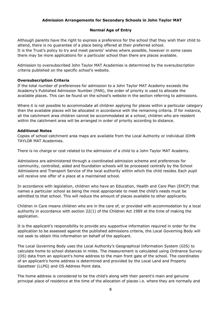# **Admission Arrangements for Secondary Schools in John Taylor MAT**

# **Normal Age of Entry**

Although parents have the right to express a preference for the school that they wish their child to attend, there is no guarantee of a place being offered at their preferred school. It is the Trust's policy to try and meet parents' wishes where possible, however in some cases there may be more applications for a particular school than there are places available.

Admission to oversubscribed John Taylor MAT Academies is determined by the oversubscription criteria published on the specific school's website.

# **Oversubscription Criteria**

If the total number of preferences for admission to a John Taylor MAT Academy exceeds the Academy's Published Admission Number (PAN), the order of priority is used to allocate the available places. This can be found on the school's website in the section referring to admissions.

Where it is not possible to accommodate all children applying for places within a particular category then the available places will be allocated in accordance with the remaining criteria. If for instance, all the catchment area children cannot be accommodated at a school, children who are resident within the catchment area will be arranged in order of priority according to distance.

#### **Additional Notes**

Copies of school catchment area maps are available from the Local Authority or individual JOHN TAYLOR MAT Academies.

There is no charge or cost related to the admission of a child to a John Taylor MAT Academy.

Admissions are administered through a coordinated admission scheme and preferences for community, controlled, aided and foundation schools will be processed centrally by the School Admissions and Transport Service of the local authority within which the child resides. Each pupil will receive one offer of a place at a maintained school.

In accordance with legislation, children who have an Education, Health and Care Plan (EHCP) that names a particular school as being the most appropriate to meet the child's needs must be admitted to that school. This will reduce the amount of places available to other applicants.

Children in Care means children who are in the care of, or provided with accommodation by a local authority in accordance with section 22(1) of the Children Act 1989 at the time of making the application.

It is the applicant's responsibility to provide any supportive information required in order for the application to be assessed against the published admissions criteria, the Local Governing Body will not seek to obtain this information on behalf of the applicant.

The Local Governing Body uses the Local Authority's Geographical Information System (GIS) to calculate home to school distances in miles. The measurement is calculated using Ordnance Survey (OS) data from an applicant's home address to the main front gate of the school. The coordinates of an applicant's home address is determined and provided by the Local Land and Property Gazetteer (LLPG) and OS Address Point data.

The home address is considered to be the child's along with their parent's main and genuine principal place of residence at the time of the allocation of places i.e. where they are normally and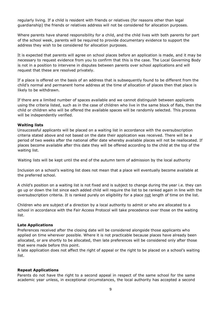regularly living. If a child is resident with friends or relatives (for reasons other than legal guardianship) the friends or relatives address will not be considered for allocation purposes.

Where parents have shared responsibility for a child, and the child lives with both parents for part of the school week, parents will be required to provide documentary evidence to support the address they wish to be considered for allocation purposes.

It is expected that parents will agree on school places before an application is made, and it may be necessary to request evidence from you to confirm that this is the case. The Local Governing Body is not in a position to intervene in disputes between parents over school applications and will request that these are resolved privately.

If a place is offered on the basis of an address that is subsequently found to be different from the child's normal and permanent home address at the time of allocation of places then that place is likely to be withdrawn.

If there are a limited number of spaces available and we cannot distinguish between applicants using the criteria listed, such as in the case of children who live in the same block of flats, then the child or children who will be offered the available spaces will be randomly selected. This process will be independently verified.

#### **Waiting lists**

Unsuccessful applicants will be placed on a waiting list in accordance with the oversubscription criteria stated above and not based on the date their application was received. There will be a period of two weeks after the national offer date whereby available places will not be reallocated. If places become available after this date they will be offered according to the child at the top of the waiting list.

Waiting lists will be kept until the end of the autumn term of admission by the local authority

Inclusion on a school's waiting list does not mean that a place will eventually become available at the preferred school.

A child's position on a waiting list is not fixed and is subject to change during the year i.e. they can go up or down the list since each added child will require the list to be ranked again in line with the oversubscription criteria. It is ranked purely on eligibility for a place not length of time on the list.

Children who are subject of a direction by a local authority to admit or who are allocated to a school in accordance with the Fair Access Protocol will take precedence over those on the waiting list.

#### **Late Applications**

Preferences received after the closing date will be considered alongside those applicants who applied on time wherever possible. Where it is not practicable because places have already been allocated, or are shortly to be allocated, then late preferences will be considered only after those that were made before this point.

A late application does not affect the right of appeal or the right to be placed on a school's waiting list.

#### **Repeat Applications**

Parents do not have the right to a second appeal in respect of the same school for the same academic year unless, in exceptional circumstances, the local authority has accepted a second